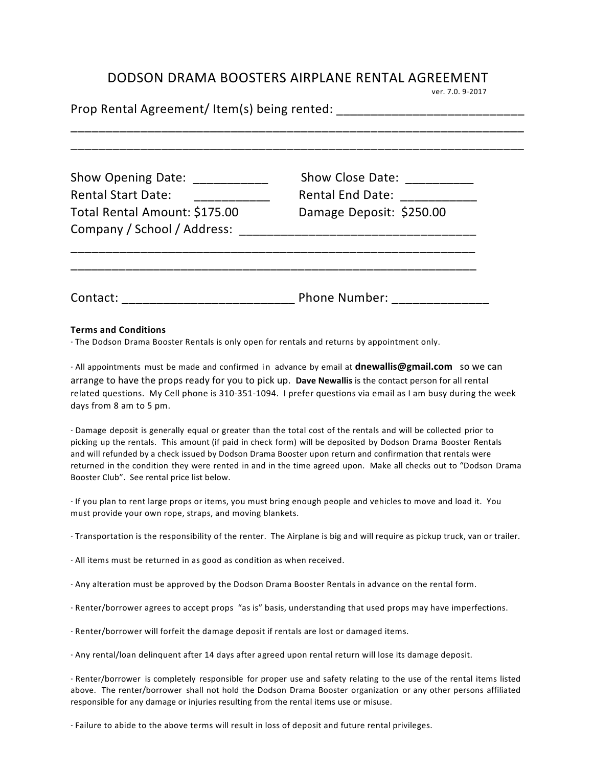## DODSON DRAMA BOOSTERS AIRPLANE RENTAL AGREEMENT<br>
ver. 7.0. 9-2017

| Show Opening Date: ___________<br><b>Rental Start Date:</b><br>and a company of the company of the company of the company of the company of the company of the company of the<br>Total Rental Amount: \$175.00<br>Company / School / Address: | Show Close Date: ___________<br>Rental End Date: ____________<br>Damage Deposit: \$250.00 |  |  |  |  |  |
|-----------------------------------------------------------------------------------------------------------------------------------------------------------------------------------------------------------------------------------------------|-------------------------------------------------------------------------------------------|--|--|--|--|--|
|                                                                                                                                                                                                                                               | Phone Number: ________________                                                            |  |  |  |  |  |

## **Terms and Conditions**

·· The Dodson Drama Booster Rentals is only open for rentals and returns by appointment only.

·· All appointments must be made and confirmed in advance by email at **dnewallis@gmail.com** so we can arrange to have the props ready for you to pick up. Dave Newallis is the contact person for all rental related questions. My Cell phone is 310-351-1094. I prefer questions via email as I am busy during the week days from 8 am to 5 pm.

·· Damage deposit is generally equal or greater than the total cost of the rentals and will be collected prior to picking up the rentals. This amount (if paid in check form) will be deposited by Dodson Drama Booster Rentals and will refunded by a check issued by Dodson Drama Booster upon return and confirmation that rentals were returned in the condition they were rented in and in the time agreed upon. Make all checks out to "Dodson Drama Booster Club". See rental price list below.

·· If you plan to rent large props or items, you must bring enough people and vehicles to move and load it. You must provide your own rope, straps, and moving blankets.

·· Transportation is the responsibility of the renter. The Airplane is big and will require as pickup truck, van or trailer. 

·· All items must be returned in as good as condition as when received. 

·· Any alteration must be approved by the Dodson Drama Booster Rentals in advance on the rental form.

·· Renter/borrower agrees to accept props "as is" basis, understanding that used props may have imperfections.

·· Renter/borrower will forfeit the damage deposit if rentals are lost or damaged items. 

·· Any rental/loan delinquent after 14 days after agreed upon rental return will lose its damage deposit. 

·· Renter/borrower is completely responsible for proper use and safety relating to the use of the rental items listed above. The renter/borrower shall not hold the Dodson Drama Booster organization or any other persons affiliated responsible for any damage or injuries resulting from the rental items use or misuse.

·· Failure to abide to the above terms will result in loss of deposit and future rental privileges.